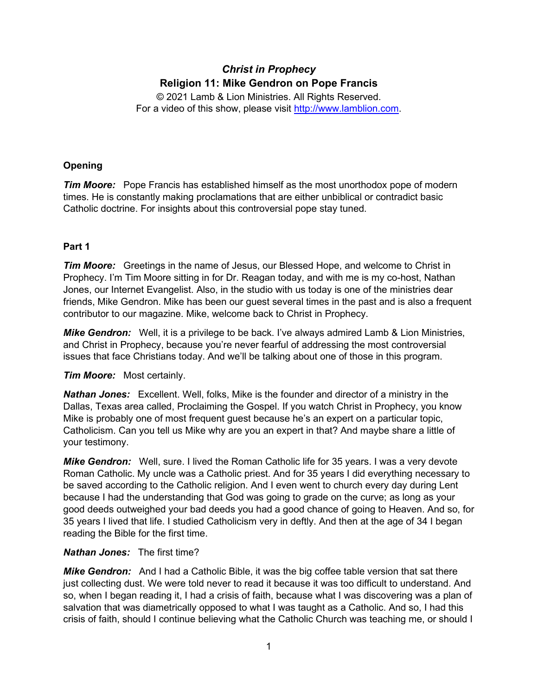# *Christ in Prophecy* **Religion 11: Mike Gendron on Pope Francis**

© 2021 Lamb & Lion Ministries. All Rights Reserved. For a video of this show, please visit [http://www.lamblion.com.](http://www.lamblion.com/)

# **Opening**

*Tim Moore:* Pope Francis has established himself as the most unorthodox pope of modern times. He is constantly making proclamations that are either unbiblical or contradict basic Catholic doctrine. For insights about this controversial pope stay tuned.

# **Part 1**

*Tim Moore:* Greetings in the name of Jesus, our Blessed Hope, and welcome to Christ in Prophecy. I'm Tim Moore sitting in for Dr. Reagan today, and with me is my co-host, Nathan Jones, our Internet Evangelist. Also, in the studio with us today is one of the ministries dear friends, Mike Gendron. Mike has been our guest several times in the past and is also a frequent contributor to our magazine. Mike, welcome back to Christ in Prophecy.

*Mike Gendron:* Well, it is a privilege to be back. I've always admired Lamb & Lion Ministries, and Christ in Prophecy, because you're never fearful of addressing the most controversial issues that face Christians today. And we'll be talking about one of those in this program.

# *Tim Moore:* Most certainly.

*Nathan Jones:* Excellent. Well, folks, Mike is the founder and director of a ministry in the Dallas, Texas area called, Proclaiming the Gospel. If you watch Christ in Prophecy, you know Mike is probably one of most frequent guest because he's an expert on a particular topic, Catholicism. Can you tell us Mike why are you an expert in that? And maybe share a little of your testimony.

*Mike Gendron:* Well, sure. I lived the Roman Catholic life for 35 years. I was a very devote Roman Catholic. My uncle was a Catholic priest. And for 35 years I did everything necessary to be saved according to the Catholic religion. And I even went to church every day during Lent because I had the understanding that God was going to grade on the curve; as long as your good deeds outweighed your bad deeds you had a good chance of going to Heaven. And so, for 35 years I lived that life. I studied Catholicism very in deftly. And then at the age of 34 I began reading the Bible for the first time.

# *Nathan Jones:* The first time?

*Mike Gendron:* And I had a Catholic Bible, it was the big coffee table version that sat there just collecting dust. We were told never to read it because it was too difficult to understand. And so, when I began reading it, I had a crisis of faith, because what I was discovering was a plan of salvation that was diametrically opposed to what I was taught as a Catholic. And so, I had this crisis of faith, should I continue believing what the Catholic Church was teaching me, or should I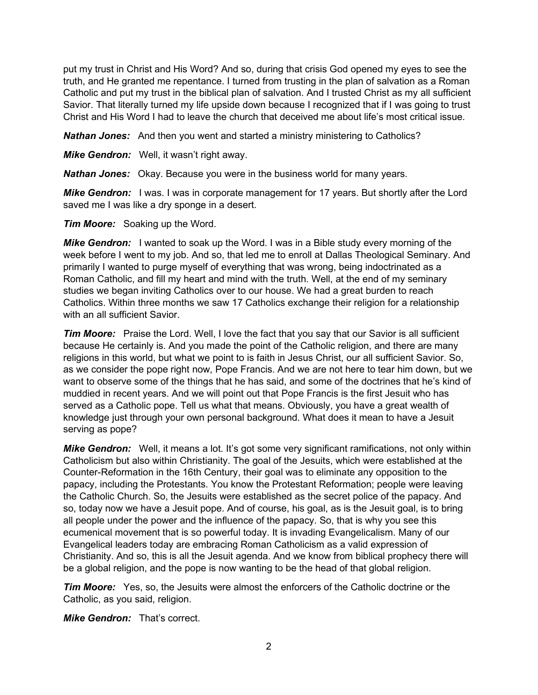put my trust in Christ and His Word? And so, during that crisis God opened my eyes to see the truth, and He granted me repentance. I turned from trusting in the plan of salvation as a Roman Catholic and put my trust in the biblical plan of salvation. And I trusted Christ as my all sufficient Savior. That literally turned my life upside down because I recognized that if I was going to trust Christ and His Word I had to leave the church that deceived me about life's most critical issue.

*Nathan Jones:* And then you went and started a ministry ministering to Catholics?

*Mike Gendron:* Well, it wasn't right away.

*Nathan Jones:* Okay. Because you were in the business world for many years.

**Mike Gendron:** I was. I was in corporate management for 17 years. But shortly after the Lord saved me I was like a dry sponge in a desert.

*Tim Moore:* Soaking up the Word.

*Mike Gendron:* I wanted to soak up the Word. I was in a Bible study every morning of the week before I went to my job. And so, that led me to enroll at Dallas Theological Seminary. And primarily I wanted to purge myself of everything that was wrong, being indoctrinated as a Roman Catholic, and fill my heart and mind with the truth. Well, at the end of my seminary studies we began inviting Catholics over to our house. We had a great burden to reach Catholics. Within three months we saw 17 Catholics exchange their religion for a relationship with an all sufficient Savior.

*Tim Moore:* Praise the Lord. Well, I love the fact that you say that our Savior is all sufficient because He certainly is. And you made the point of the Catholic religion, and there are many religions in this world, but what we point to is faith in Jesus Christ, our all sufficient Savior. So, as we consider the pope right now, Pope Francis. And we are not here to tear him down, but we want to observe some of the things that he has said, and some of the doctrines that he's kind of muddied in recent years. And we will point out that Pope Francis is the first Jesuit who has served as a Catholic pope. Tell us what that means. Obviously, you have a great wealth of knowledge just through your own personal background. What does it mean to have a Jesuit serving as pope?

**Mike Gendron:** Well, it means a lot. It's got some very significant ramifications, not only within Catholicism but also within Christianity. The goal of the Jesuits, which were established at the Counter-Reformation in the 16th Century, their goal was to eliminate any opposition to the papacy, including the Protestants. You know the Protestant Reformation; people were leaving the Catholic Church. So, the Jesuits were established as the secret police of the papacy. And so, today now we have a Jesuit pope. And of course, his goal, as is the Jesuit goal, is to bring all people under the power and the influence of the papacy. So, that is why you see this ecumenical movement that is so powerful today. It is invading Evangelicalism. Many of our Evangelical leaders today are embracing Roman Catholicism as a valid expression of Christianity. And so, this is all the Jesuit agenda. And we know from biblical prophecy there will be a global religion, and the pope is now wanting to be the head of that global religion.

*Tim Moore:* Yes, so, the Jesuits were almost the enforcers of the Catholic doctrine or the Catholic, as you said, religion.

*Mike Gendron:* That's correct.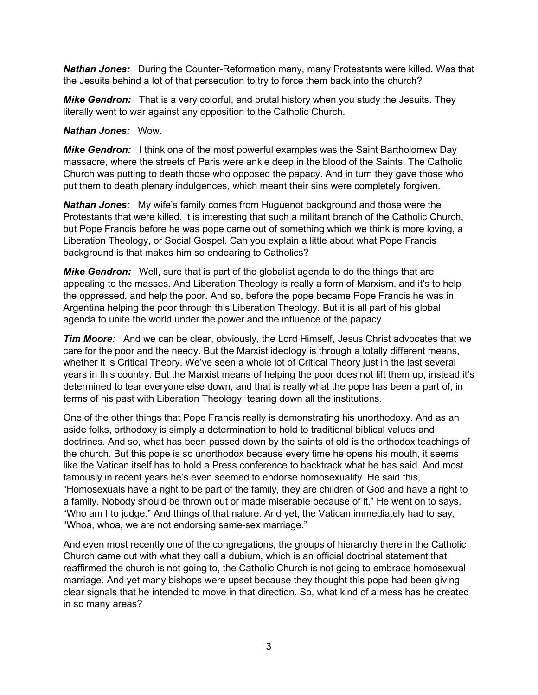*Nathan Jones:* During the Counter-Reformation many, many Protestants were killed. Was that the Jesuits behind a lot of that persecution to try to force them back into the church?

*Mike Gendron:* That is a very colorful, and brutal history when you study the Jesuits. They literally went to war against any opposition to the Catholic Church.

#### *Nathan Jones:* Wow.

*Mike Gendron:* I think one of the most powerful examples was the Saint Bartholomew Day massacre, where the streets of Paris were ankle deep in the blood of the Saints. The Catholic Church was putting to death those who opposed the papacy. And in turn they gave those who put them to death plenary indulgences, which meant their sins were completely forgiven.

*Nathan Jones:* My wife's family comes from Huguenot background and those were the Protestants that were killed. It is interesting that such a militant branch of the Catholic Church, but Pope Francis before he was pope came out of something which we think is more loving, a Liberation Theology, or Social Gospel. Can you explain a little about what Pope Francis background is that makes him so endearing to Catholics?

*Mike Gendron:* Well, sure that is part of the globalist agenda to do the things that are appealing to the masses. And Liberation Theology is really a form of Marxism, and it's to help the oppressed, and help the poor. And so, before the pope became Pope Francis he was in Argentina helping the poor through this Liberation Theology. But it is all part of his global agenda to unite the world under the power and the influence of the papacy.

*Tim Moore:* And we can be clear, obviously, the Lord Himself, Jesus Christ advocates that we care for the poor and the needy. But the Marxist ideology is through a totally different means, whether it is Critical Theory. We've seen a whole lot of Critical Theory just in the last several years in this country. But the Marxist means of helping the poor does not lift them up, instead it's determined to tear everyone else down, and that is really what the pope has been a part of, in terms of his past with Liberation Theology, tearing down all the institutions.

One of the other things that Pope Francis really is demonstrating his unorthodoxy. And as an aside folks, orthodoxy is simply a determination to hold to traditional biblical values and doctrines. And so, what has been passed down by the saints of old is the orthodox teachings of the church. But this pope is so unorthodox because every time he opens his mouth, it seems like the Vatican itself has to hold a Press conference to backtrack what he has said. And most famously in recent years he's even seemed to endorse homosexuality. He said this, "Homosexuals have a right to be part of the family, they are children of God and have a right to a family. Nobody should be thrown out or made miserable because of it." He went on to says, "Who am I to judge." And things of that nature. And yet, the Vatican immediately had to say, "Whoa, whoa, we are not endorsing same-sex marriage."

And even most recently one of the congregations, the groups of hierarchy there in the Catholic Church came out with what they call a dubium, which is an official doctrinal statement that reaffirmed the church is not going to, the Catholic Church is not going to embrace homosexual marriage. And yet many bishops were upset because they thought this pope had been giving clear signals that he intended to move in that direction. So, what kind of a mess has he created in so many areas?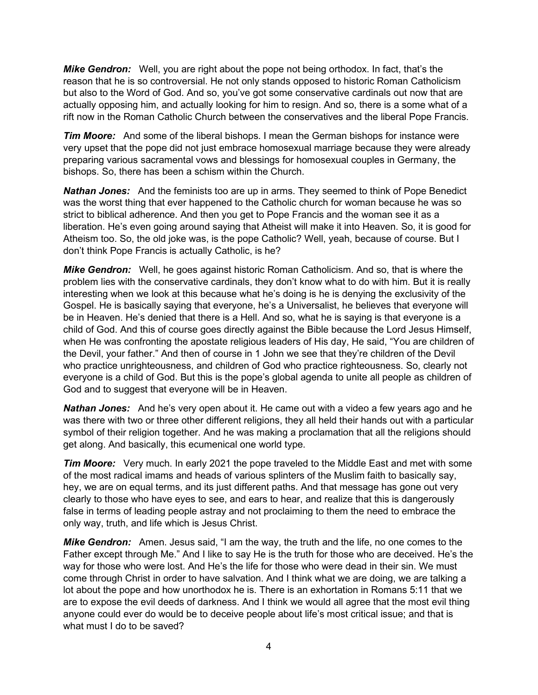*Mike Gendron:* Well, you are right about the pope not being orthodox. In fact, that's the reason that he is so controversial. He not only stands opposed to historic Roman Catholicism but also to the Word of God. And so, you've got some conservative cardinals out now that are actually opposing him, and actually looking for him to resign. And so, there is a some what of a rift now in the Roman Catholic Church between the conservatives and the liberal Pope Francis.

*Tim Moore:* And some of the liberal bishops. I mean the German bishops for instance were very upset that the pope did not just embrace homosexual marriage because they were already preparing various sacramental vows and blessings for homosexual couples in Germany, the bishops. So, there has been a schism within the Church.

*Nathan Jones:* And the feminists too are up in arms. They seemed to think of Pope Benedict was the worst thing that ever happened to the Catholic church for woman because he was so strict to biblical adherence. And then you get to Pope Francis and the woman see it as a liberation. He's even going around saying that Atheist will make it into Heaven. So, it is good for Atheism too. So, the old joke was, is the pope Catholic? Well, yeah, because of course. But I don't think Pope Francis is actually Catholic, is he?

*Mike Gendron:* Well, he goes against historic Roman Catholicism. And so, that is where the problem lies with the conservative cardinals, they don't know what to do with him. But it is really interesting when we look at this because what he's doing is he is denying the exclusivity of the Gospel. He is basically saying that everyone, he's a Universalist, he believes that everyone will be in Heaven. He's denied that there is a Hell. And so, what he is saying is that everyone is a child of God. And this of course goes directly against the Bible because the Lord Jesus Himself, when He was confronting the apostate religious leaders of His day, He said, "You are children of the Devil, your father." And then of course in 1 John we see that they're children of the Devil who practice unrighteousness, and children of God who practice righteousness. So, clearly not everyone is a child of God. But this is the pope's global agenda to unite all people as children of God and to suggest that everyone will be in Heaven.

*Nathan Jones:* And he's very open about it. He came out with a video a few years ago and he was there with two or three other different religions, they all held their hands out with a particular symbol of their religion together. And he was making a proclamation that all the religions should get along. And basically, this ecumenical one world type.

*Tim Moore:* Very much. In early 2021 the pope traveled to the Middle East and met with some of the most radical imams and heads of various splinters of the Muslim faith to basically say, hey, we are on equal terms, and its just different paths. And that message has gone out very clearly to those who have eyes to see, and ears to hear, and realize that this is dangerously false in terms of leading people astray and not proclaiming to them the need to embrace the only way, truth, and life which is Jesus Christ.

**Mike Gendron:** Amen. Jesus said, "I am the way, the truth and the life, no one comes to the Father except through Me." And I like to say He is the truth for those who are deceived. He's the way for those who were lost. And He's the life for those who were dead in their sin. We must come through Christ in order to have salvation. And I think what we are doing, we are talking a lot about the pope and how unorthodox he is. There is an exhortation in Romans 5:11 that we are to expose the evil deeds of darkness. And I think we would all agree that the most evil thing anyone could ever do would be to deceive people about life's most critical issue; and that is what must I do to be saved?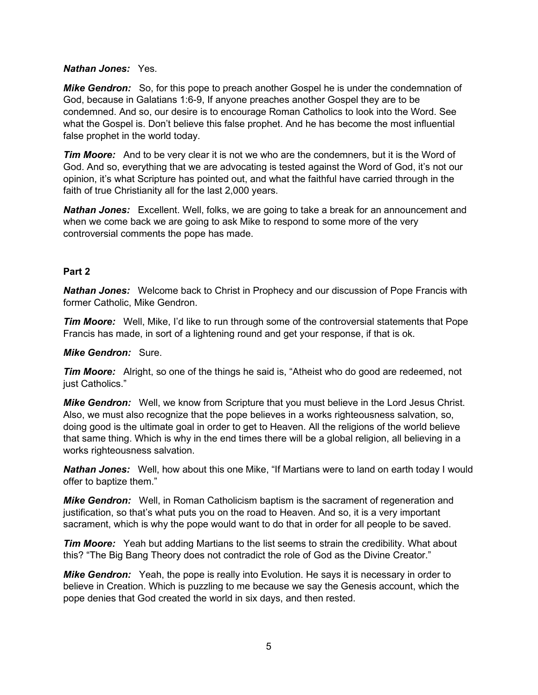#### *Nathan Jones:* Yes.

*Mike Gendron:* So, for this pope to preach another Gospel he is under the condemnation of God, because in Galatians 1:6-9, If anyone preaches another Gospel they are to be condemned. And so, our desire is to encourage Roman Catholics to look into the Word. See what the Gospel is. Don't believe this false prophet. And he has become the most influential false prophet in the world today.

*Tim Moore:* And to be very clear it is not we who are the condemners, but it is the Word of God. And so, everything that we are advocating is tested against the Word of God, it's not our opinion, it's what Scripture has pointed out, and what the faithful have carried through in the faith of true Christianity all for the last 2,000 years.

*Nathan Jones:* Excellent. Well, folks, we are going to take a break for an announcement and when we come back we are going to ask Mike to respond to some more of the very controversial comments the pope has made.

#### **Part 2**

*Nathan Jones:* Welcome back to Christ in Prophecy and our discussion of Pope Francis with former Catholic, Mike Gendron.

*Tim Moore:* Well, Mike, I'd like to run through some of the controversial statements that Pope Francis has made, in sort of a lightening round and get your response, if that is ok.

#### *Mike Gendron:* Sure.

*Tim Moore:* Alright, so one of the things he said is, "Atheist who do good are redeemed, not just Catholics."

*Mike Gendron:* Well, we know from Scripture that you must believe in the Lord Jesus Christ. Also, we must also recognize that the pope believes in a works righteousness salvation, so, doing good is the ultimate goal in order to get to Heaven. All the religions of the world believe that same thing. Which is why in the end times there will be a global religion, all believing in a works righteousness salvation.

*Nathan Jones:* Well, how about this one Mike, "If Martians were to land on earth today I would offer to baptize them."

*Mike Gendron:* Well, in Roman Catholicism baptism is the sacrament of regeneration and justification, so that's what puts you on the road to Heaven. And so, it is a very important sacrament, which is why the pope would want to do that in order for all people to be saved.

*Tim Moore:* Yeah but adding Martians to the list seems to strain the credibility. What about this? "The Big Bang Theory does not contradict the role of God as the Divine Creator."

*Mike Gendron:* Yeah, the pope is really into Evolution. He says it is necessary in order to believe in Creation. Which is puzzling to me because we say the Genesis account, which the pope denies that God created the world in six days, and then rested.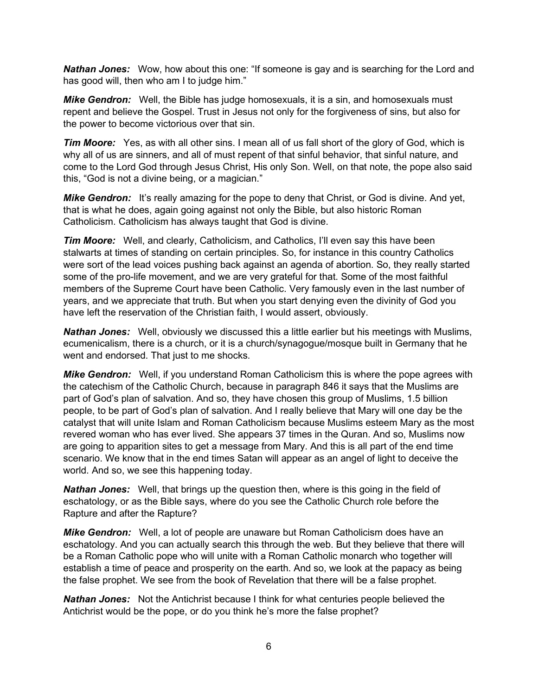**Nathan Jones:** Wow, how about this one: "If someone is gay and is searching for the Lord and has good will, then who am I to judge him."

*Mike Gendron:* Well, the Bible has judge homosexuals, it is a sin, and homosexuals must repent and believe the Gospel. Trust in Jesus not only for the forgiveness of sins, but also for the power to become victorious over that sin.

*Tim Moore:* Yes, as with all other sins. I mean all of us fall short of the glory of God, which is why all of us are sinners, and all of must repent of that sinful behavior, that sinful nature, and come to the Lord God through Jesus Christ, His only Son. Well, on that note, the pope also said this, "God is not a divine being, or a magician."

**Mike Gendron:** It's really amazing for the pope to deny that Christ, or God is divine. And yet, that is what he does, again going against not only the Bible, but also historic Roman Catholicism. Catholicism has always taught that God is divine.

*Tim Moore:* Well, and clearly, Catholicism, and Catholics, I'll even say this have been stalwarts at times of standing on certain principles. So, for instance in this country Catholics were sort of the lead voices pushing back against an agenda of abortion. So, they really started some of the pro-life movement, and we are very grateful for that. Some of the most faithful members of the Supreme Court have been Catholic. Very famously even in the last number of years, and we appreciate that truth. But when you start denying even the divinity of God you have left the reservation of the Christian faith, I would assert, obviously.

*Nathan Jones:* Well, obviously we discussed this a little earlier but his meetings with Muslims, ecumenicalism, there is a church, or it is a church/synagogue/mosque built in Germany that he went and endorsed. That just to me shocks.

*Mike Gendron:* Well, if you understand Roman Catholicism this is where the pope agrees with the catechism of the Catholic Church, because in paragraph 846 it says that the Muslims are part of God's plan of salvation. And so, they have chosen this group of Muslims, 1.5 billion people, to be part of God's plan of salvation. And I really believe that Mary will one day be the catalyst that will unite Islam and Roman Catholicism because Muslims esteem Mary as the most revered woman who has ever lived. She appears 37 times in the Quran. And so, Muslims now are going to apparition sites to get a message from Mary. And this is all part of the end time scenario. We know that in the end times Satan will appear as an angel of light to deceive the world. And so, we see this happening today.

*Nathan Jones:* Well, that brings up the question then, where is this going in the field of eschatology, or as the Bible says, where do you see the Catholic Church role before the Rapture and after the Rapture?

*Mike Gendron:* Well, a lot of people are unaware but Roman Catholicism does have an eschatology. And you can actually search this through the web. But they believe that there will be a Roman Catholic pope who will unite with a Roman Catholic monarch who together will establish a time of peace and prosperity on the earth. And so, we look at the papacy as being the false prophet. We see from the book of Revelation that there will be a false prophet.

*Nathan Jones:* Not the Antichrist because I think for what centuries people believed the Antichrist would be the pope, or do you think he's more the false prophet?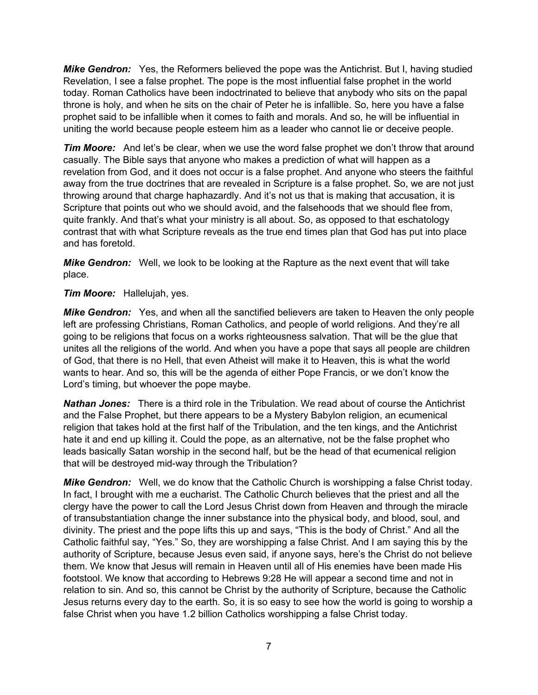*Mike Gendron:* Yes, the Reformers believed the pope was the Antichrist. But I, having studied Revelation, I see a false prophet. The pope is the most influential false prophet in the world today. Roman Catholics have been indoctrinated to believe that anybody who sits on the papal throne is holy, and when he sits on the chair of Peter he is infallible. So, here you have a false prophet said to be infallible when it comes to faith and morals. And so, he will be influential in uniting the world because people esteem him as a leader who cannot lie or deceive people.

*Tim Moore:* And let's be clear, when we use the word false prophet we don't throw that around casually. The Bible says that anyone who makes a prediction of what will happen as a revelation from God, and it does not occur is a false prophet. And anyone who steers the faithful away from the true doctrines that are revealed in Scripture is a false prophet. So, we are not just throwing around that charge haphazardly. And it's not us that is making that accusation, it is Scripture that points out who we should avoid, and the falsehoods that we should flee from, quite frankly. And that's what your ministry is all about. So, as opposed to that eschatology contrast that with what Scripture reveals as the true end times plan that God has put into place and has foretold.

*Mike Gendron:* Well, we look to be looking at the Rapture as the next event that will take place.

## *Tim Moore:* Hallelujah, yes.

*Mike Gendron:* Yes, and when all the sanctified believers are taken to Heaven the only people left are professing Christians, Roman Catholics, and people of world religions. And they're all going to be religions that focus on a works righteousness salvation. That will be the glue that unites all the religions of the world. And when you have a pope that says all people are children of God, that there is no Hell, that even Atheist will make it to Heaven, this is what the world wants to hear. And so, this will be the agenda of either Pope Francis, or we don't know the Lord's timing, but whoever the pope maybe.

*Nathan Jones:* There is a third role in the Tribulation. We read about of course the Antichrist and the False Prophet, but there appears to be a Mystery Babylon religion, an ecumenical religion that takes hold at the first half of the Tribulation, and the ten kings, and the Antichrist hate it and end up killing it. Could the pope, as an alternative, not be the false prophet who leads basically Satan worship in the second half, but be the head of that ecumenical religion that will be destroyed mid-way through the Tribulation?

**Mike Gendron:** Well, we do know that the Catholic Church is worshipping a false Christ today. In fact, I brought with me a eucharist. The Catholic Church believes that the priest and all the clergy have the power to call the Lord Jesus Christ down from Heaven and through the miracle of transubstantiation change the inner substance into the physical body, and blood, soul, and divinity. The priest and the pope lifts this up and says, "This is the body of Christ." And all the Catholic faithful say, "Yes." So, they are worshipping a false Christ. And I am saying this by the authority of Scripture, because Jesus even said, if anyone says, here's the Christ do not believe them. We know that Jesus will remain in Heaven until all of His enemies have been made His footstool. We know that according to Hebrews 9:28 He will appear a second time and not in relation to sin. And so, this cannot be Christ by the authority of Scripture, because the Catholic Jesus returns every day to the earth. So, it is so easy to see how the world is going to worship a false Christ when you have 1.2 billion Catholics worshipping a false Christ today.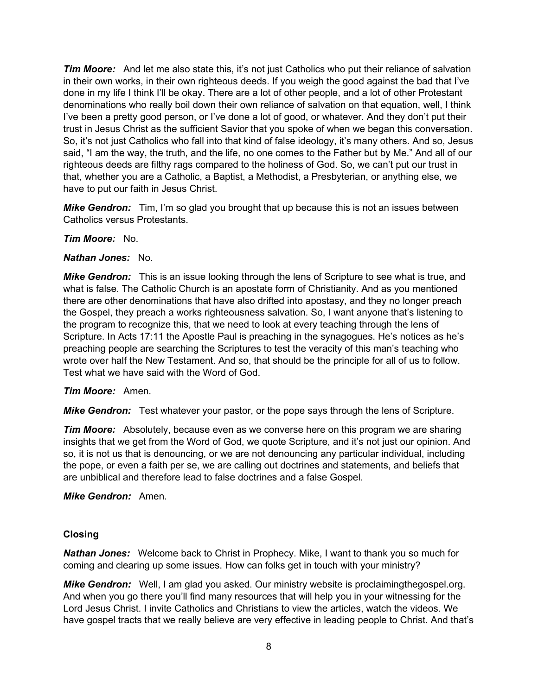*Tim Moore:* And let me also state this, it's not just Catholics who put their reliance of salvation in their own works, in their own righteous deeds. If you weigh the good against the bad that I've done in my life I think I'll be okay. There are a lot of other people, and a lot of other Protestant denominations who really boil down their own reliance of salvation on that equation, well, I think I've been a pretty good person, or I've done a lot of good, or whatever. And they don't put their trust in Jesus Christ as the sufficient Savior that you spoke of when we began this conversation. So, it's not just Catholics who fall into that kind of false ideology, it's many others. And so, Jesus said, "I am the way, the truth, and the life, no one comes to the Father but by Me." And all of our righteous deeds are filthy rags compared to the holiness of God. So, we can't put our trust in that, whether you are a Catholic, a Baptist, a Methodist, a Presbyterian, or anything else, we have to put our faith in Jesus Christ.

*Mike Gendron:* Tim, I'm so glad you brought that up because this is not an issues between Catholics versus Protestants.

## *Tim Moore:* No.

#### *Nathan Jones:* No.

*Mike Gendron:* This is an issue looking through the lens of Scripture to see what is true, and what is false. The Catholic Church is an apostate form of Christianity. And as you mentioned there are other denominations that have also drifted into apostasy, and they no longer preach the Gospel, they preach a works righteousness salvation. So, I want anyone that's listening to the program to recognize this, that we need to look at every teaching through the lens of Scripture. In Acts 17:11 the Apostle Paul is preaching in the synagogues. He's notices as he's preaching people are searching the Scriptures to test the veracity of this man's teaching who wrote over half the New Testament. And so, that should be the principle for all of us to follow. Test what we have said with the Word of God.

## *Tim Moore:* Amen.

*Mike Gendron:* Test whatever your pastor, or the pope says through the lens of Scripture.

*Tim Moore:* Absolutely, because even as we converse here on this program we are sharing insights that we get from the Word of God, we quote Scripture, and it's not just our opinion. And so, it is not us that is denouncing, or we are not denouncing any particular individual, including the pope, or even a faith per se, we are calling out doctrines and statements, and beliefs that are unbiblical and therefore lead to false doctrines and a false Gospel.

*Mike Gendron:* Amen.

## **Closing**

*Nathan Jones:* Welcome back to Christ in Prophecy. Mike, I want to thank you so much for coming and clearing up some issues. How can folks get in touch with your ministry?

*Mike Gendron:* Well, I am glad you asked. Our ministry website is proclaimingthegospel.org. And when you go there you'll find many resources that will help you in your witnessing for the Lord Jesus Christ. I invite Catholics and Christians to view the articles, watch the videos. We have gospel tracts that we really believe are very effective in leading people to Christ. And that's